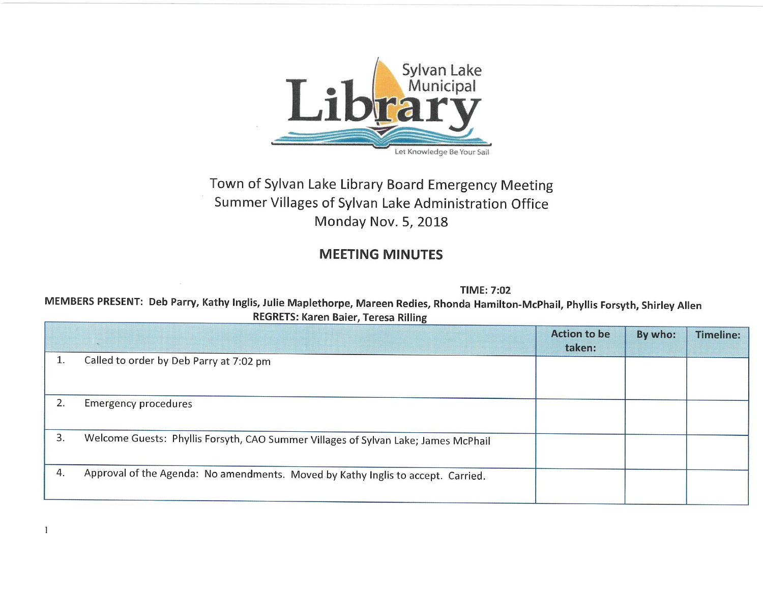

## Town of Sylvan Lake Library Board Emergency Meeting Summer Villages of Sylvan Lake Administration Office Monday Nov. 5, 2018

## MEETING MINUTES

TIME: 7:02

MEMBERS PRESENT: Deb Parry, Kathy Inglis, Julie Maplethorpe, Mareen Redies, Rhonda Hamilton-McPhail, Phyllis Forsyth, Shirley Allen REGRETS: Karen Baier, Teresa Rilling

|    |                                                                                    | <b>Action to be</b><br>taken: | By who: | <b>Timeline:</b> |
|----|------------------------------------------------------------------------------------|-------------------------------|---------|------------------|
| ⊥. | Called to order by Deb Parry at 7:02 pm                                            |                               |         |                  |
| 2. | <b>Emergency procedures</b>                                                        |                               |         |                  |
| 3. | Welcome Guests: Phyllis Forsyth, CAO Summer Villages of Sylvan Lake; James McPhail |                               |         |                  |
| 4. | Approval of the Agenda: No amendments. Moved by Kathy Inglis to accept. Carried.   |                               |         |                  |